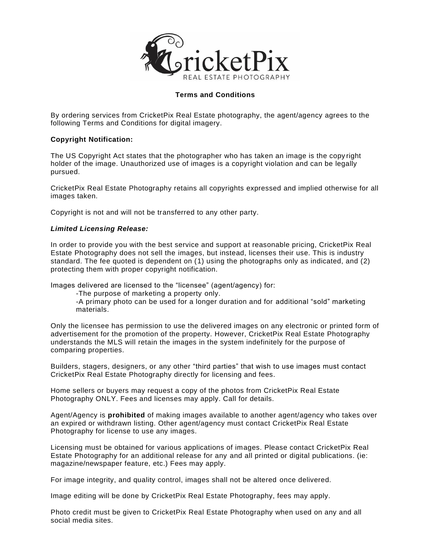

# **Terms and Conditions**

By ordering services from CricketPix Real Estate photography, the agent/agency agrees to the following Terms and Conditions for digital imagery.

### **Copyright Notification:**

The US Copyright Act states that the photographer who has taken an image is the copy right holder of the image. Unauthorized use of images is a copyright violation and can be legally pursued.

CricketPix Real Estate Photography retains all copyrights expressed and implied otherwise for all images taken.

Copyright is not and will not be transferred to any other party.

### *Limited Licensing Release:*

In order to provide you with the best service and support at reasonable pricing, CricketPix Real Estate Photography does not sell the images, but instead, licenses their use. This is industry standard. The fee quoted is dependent on (1) using the photographs only as indicated, and (2) protecting them with proper copyright notification.

Images delivered are licensed to the "licensee" (agent/agency) for:

-The purpose of marketing a property only.

-A primary photo can be used for a longer duration and for additional "sold" marketing materials.

Only the licensee has permission to use the delivered images on any electronic or printed form of advertisement for the promotion of the property. However, CricketPix Real Estate Photography understands the MLS will retain the images in the system indefinitely for the purpose of comparing properties.

Builders, stagers, designers, or any other "third parties" that wish to use images must contact CricketPix Real Estate Photography directly for licensing and fees.

Home sellers or buyers may request a copy of the photos from CricketPix Real Estate Photography ONLY. Fees and licenses may apply. Call for details.

Agent/Agency is **prohibited** of making images available to another agent/agency who takes over an expired or withdrawn listing. Other agent/agency must contact CricketPix Real Estate Photography for license to use any images.

Licensing must be obtained for various applications of images. Please contact CricketPix Real Estate Photography for an additional release for any and all printed or digital publications. (ie: magazine/newspaper feature, etc.) Fees may apply.

For image integrity, and quality control, images shall not be altered once delivered.

Image editing will be done by CricketPix Real Estate Photography, fees may apply.

Photo credit must be given to CricketPix Real Estate Photography when used on any and all social media sites.